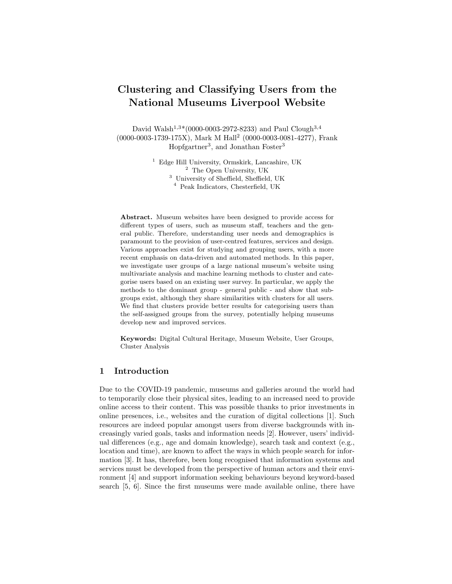# Clustering and Classifying Users from the National Museums Liverpool Website

David Walsh<sup>1,3\*</sup>(0000-0003-2972-8233) and Paul Clough<sup>3,4</sup> (0000-0003-1739-175X), Mark M Hall<sup>2</sup> (0000-0003-0081-4277), Frank Hopfgartner<sup>3</sup>, and Jonathan Foster<sup>3</sup>

> Edge Hill University, Ormskirk, Lancashire, UK The Open University, UK University of Sheffield, Sheffield, UK Peak Indicators, Chesterfield, UK

Abstract. Museum websites have been designed to provide access for different types of users, such as museum staff, teachers and the general public. Therefore, understanding user needs and demographics is paramount to the provision of user-centred features, services and design. Various approaches exist for studying and grouping users, with a more recent emphasis on data-driven and automated methods. In this paper, we investigate user groups of a large national museum's website using multivariate analysis and machine learning methods to cluster and categorise users based on an existing user survey. In particular, we apply the methods to the dominant group - general public - and show that subgroups exist, although they share similarities with clusters for all users. We find that clusters provide better results for categorising users than the self-assigned groups from the survey, potentially helping museums develop new and improved services.

Keywords: Digital Cultural Heritage, Museum Website, User Groups, Cluster Analysis

# 1 Introduction

Due to the COVID-19 pandemic, museums and galleries around the world had to temporarily close their physical sites, leading to an increased need to provide online access to their content. This was possible thanks to prior investments in online presences, i.e., websites and the curation of digital collections [1]. Such resources are indeed popular amongst users from diverse backgrounds with increasingly varied goals, tasks and information needs [2]. However, users' individual differences (e.g., age and domain knowledge), search task and context (e.g., location and time), are known to affect the ways in which people search for information [3]. It has, therefore, been long recognised that information systems and services must be developed from the perspective of human actors and their environment [4] and support information seeking behaviours beyond keyword-based search [5, 6]. Since the first museums were made available online, there have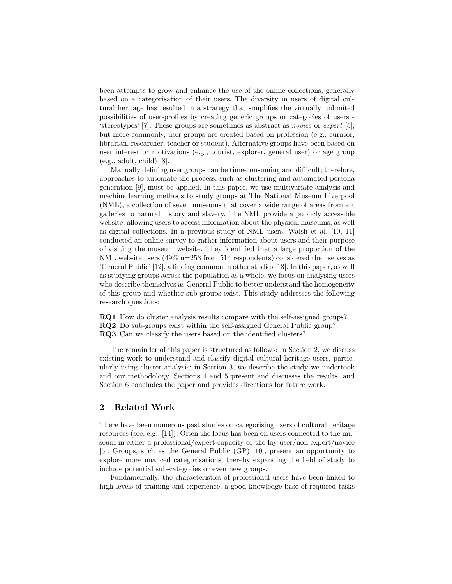been attempts to grow and enhance the use of the online collections, generally based on a categorisation of their users. The diversity in users of digital cultural heritage has resulted in a strategy that simplifies the virtually unlimited possibilities of user-profiles by creating generic groups or categories of users - 'stereotypes' [7]. These groups are sometimes as abstract as novice or expert [5], but more commonly, user groups are created based on profession (e.g., curator, librarian, researcher, teacher or student). Alternative groups have been based on user interest or motivations (e.g., tourist, explorer, general user) or age group (e.g., adult, child) [8].

Manually defining user groups can be time-consuming and difficult; therefore, approaches to automate the process, such as clustering and automated persona generation [9], must be applied. In this paper, we use multivariate analysis and machine learning methods to study groups at The National Museum Liverpool (NML), a collection of seven museums that cover a wide range of areas from art galleries to natural history and slavery. The NML provide a publicly accessible website, allowing users to access information about the physical museums, as well as digital collections. In a previous study of NML users, Walsh et al. [10, 11] conducted an online survey to gather information about users and their purpose of visiting the museum website. They identified that a large proportion of the NML website users  $(49\% \text{ n} = 253 \text{ from } 514 \text{ respondents})$  considered themselves as 'General Public' [12], a finding common in other studies [13]. In this paper, as well as studying groups across the population as a whole, we focus on analysing users who describe themselves as General Public to better understand the homogeneity of this group and whether sub-groups exist. This study addresses the following research questions:

RQ1 How do cluster analysis results compare with the self-assigned groups? RQ2 Do sub-groups exist within the self-assigned General Public group? RQ3 Can we classify the users based on the identified clusters?

The remainder of this paper is structured as follows: In Section 2, we discuss existing work to understand and classify digital cultural heritage users, particularly using cluster analysis; in Section 3, we describe the study we undertook and our methodology. Sections 4 and 5 present and discusses the results, and Section 6 concludes the paper and provides directions for future work.

# 2 Related Work

There have been numerous past studies on categorising users of cultural heritage resources (see, e.g., [14]). Often the focus has been on users connected to the museum in either a professional/expert capacity or the lay user/non-expert/novice [5]. Groups, such as the General Public (GP) [10], present an opportunity to explore more nuanced categorisations, thereby expanding the field of study to include potential sub-categories or even new groups.

Fundamentally, the characteristics of professional users have been linked to high levels of training and experience, a good knowledge base of required tasks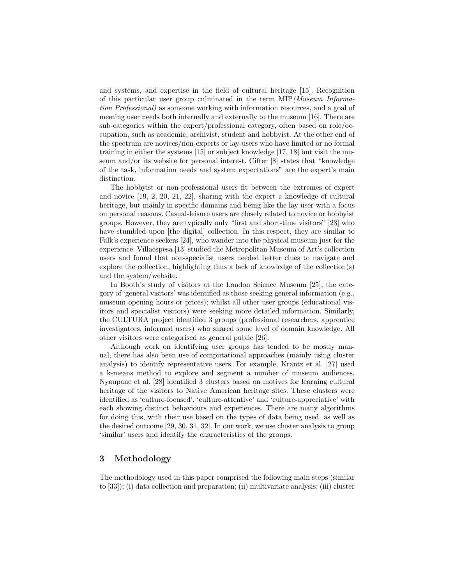and systems, and expertise in the field of cultural heritage [15]. Recognition of this particular user group culminated in the term MIP(Museum Information Professional) as someone working with information resources, and a goal of meeting user needs both internally and externally to the museum [16]. There are sub-categories within the expert/professional category, often based on role/occupation, such as academic, archivist, student and hobbyist. At the other end of the spectrum are novices/non-experts or lay-users who have limited or no formal training in either the systems [15] or subject knowledge [17, 18] but visit the museum and/or its website for personal interest. Cifter [8] states that "knowledge of the task, information needs and system expectations" are the expert's main distinction.

The hobbyist or non-professional users fit between the extremes of expert and novice [19, 2, 20, 21, 22], sharing with the expert a knowledge of cultural heritage, but mainly in specific domains and being like the lay user with a focus on personal reasons. Casual-leisure users are closely related to novice or hobbyist groups. However, they are typically only "first and short-time visitors" [23] who have stumbled upon [the digital] collection. In this respect, they are similar to Falk's experience seekers [24], who wander into the physical museum just for the experience. Villaespesa [13] studied the Metropolitan Museum of Art's collection users and found that non-specialist users needed better clues to navigate and explore the collection, highlighting thus a lack of knowledge of the collection(s) and the system/website.

In Booth's study of visitors at the London Science Museum [25], the category of 'general visitors' was identified as those seeking general information (e.g., museum opening hours or prices); whilst all other user groups (educational visitors and specialist visitors) were seeking more detailed information. Similarly, the CULTURA project identified 3 groups (professional researchers, apprentice investigators, informed users) who shared some level of domain knowledge. All other visitors were categorised as general public [26].

Although work on identifying user groups has tended to be mostly manual, there has also been use of computational approaches (mainly using cluster analysis) to identify representative users. For example, Krantz et al. [27] used a k-means method to explore and segment a number of museum audiences. Nyaupane et al. [28] identified 3 clusters based on motives for learning cultural heritage of the visitors to Native American heritage sites. These clusters were identified as 'culture-focused', 'culture-attentive' and 'culture-appreciative' with each showing distinct behaviours and experiences. There are many algorithms for doing this, with their use based on the types of data being used, as well as the desired outcome [29, 30, 31, 32]. In our work, we use cluster analysis to group 'similar' users and identify the characteristics of the groups.

# 3 Methodology

The methodology used in this paper comprised the following main steps (similar to [33]): (i) data collection and preparation; (ii) multivariate analysis; (iii) cluster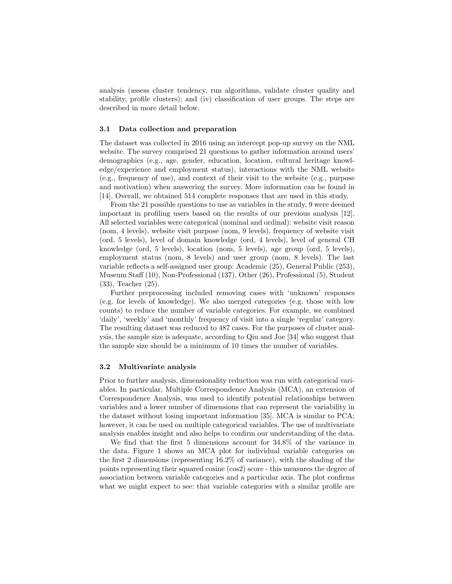analysis (assess cluster tendency, run algorithms, validate cluster quality and stability, profile clusters); and (iv) classification of user groups. The steps are described in more detail below.

## 3.1 Data collection and preparation

The dataset was collected in 2016 using an intercept pop-up survey on the NML website. The survey comprised 21 questions to gather information around users' demographics (e.g., age, gender, education, location, cultural heritage knowledge/experience and employment status), interactions with the NML website (e.g., frequency of use), and context of their visit to the website (e.g., purpose and motivation) when answering the survey. More information can be found in [14]. Overall, we obtained 514 complete responses that are used in this study.

From the 21 possible questions to use as variables in the study, 9 were deemed important in profiling users based on the results of our previous analysis [12]. All selected variables were categorical (nominal and ordinal): website visit reason (nom, 4 levels), website visit purpose (nom, 9 levels), frequency of website visit (ord, 5 levels), level of domain knowledge (ord, 4 levels), level of general CH knowledge (ord, 5 levels), location (nom, 5 levels), age group (ord, 5 levels), employment status (nom, 8 levels) and user group (nom, 8 levels). The last variable reflects a self-assigned user group: Academic (25), General Public (253), Museum Staff (10), Non-Professional (137), Other (26), Professional (5), Student (33), Teacher (25).

Further preprocessing included removing cases with 'unknown' responses (e.g. for levels of knowledge). We also merged categories (e.g. those with low counts) to reduce the number of variable categories. For example, we combined 'daily', 'weekly' and 'monthly' frequency of visit into a single 'regular' category. The resulting dataset was reduced to 487 cases. For the purposes of cluster analysis, the sample size is adequate, according to Qiu and Joe [34] who suggest that the sample size should be a minimum of 10 times the number of variables.

### 3.2 Multivariate analysis

Prior to further analysis, dimensionality reduction was run with categorical variables. In particular, Multiple Correspondence Analysis (MCA), an extension of Correspondence Analysis, was used to identify potential relationships between variables and a lower number of dimensions that can represent the variability in the dataset without losing important information [35]. MCA is similar to PCA; however, it can be used on multiple categorical variables. The use of multivariate analysis enables insight and also helps to confirm our understanding of the data.

We find that the first 5 dimensions account for 34.8% of the variance in the data. Figure 1 shows an MCA plot for individual variable categories on the first 2 dimensions (representing 16.2% of variance), with the shading of the points representing their squared cosine (cos2) score - this measures the degree of association between variable categories and a particular axis. The plot confirms what we might expect to see: that variable categories with a similar profile are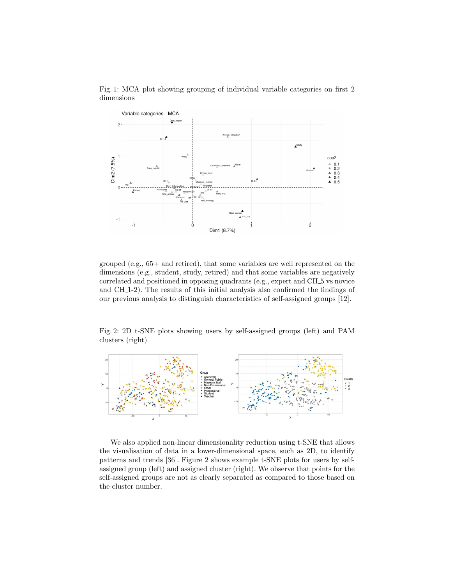

Fig. 1: MCA plot showing grouping of individual variable categories on first 2 dimensions

grouped (e.g., 65+ and retired), that some variables are well represented on the dimensions (e.g., student, study, retired) and that some variables are negatively correlated and positioned in opposing quadrants (e.g., expert and CH<sub>-5</sub> vs novice and CH 1-2). The results of this initial analysis also confirmed the findings of our previous analysis to distinguish characteristics of self-assigned groups [12].

Fig. 2: 2D t-SNE plots showing users by self-assigned groups (left) and PAM clusters (right)



We also applied non-linear dimensionality reduction using t-SNE that allows the visualisation of data in a lower-dimensional space, such as 2D, to identify patterns and trends [36]. Figure 2 shows example t-SNE plots for users by selfassigned group (left) and assigned cluster (right). We observe that points for the self-assigned groups are not as clearly separated as compared to those based on the cluster number.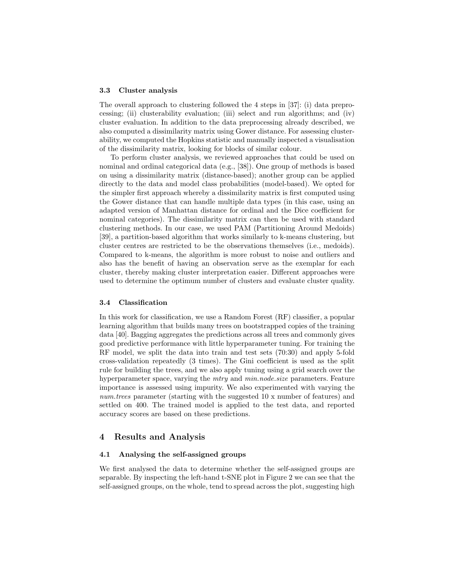#### 3.3 Cluster analysis

The overall approach to clustering followed the 4 steps in [37]: (i) data preprocessing; (ii) clusterability evaluation; (iii) select and run algorithms; and (iv) cluster evaluation. In addition to the data preprocessing already described, we also computed a dissimilarity matrix using Gower distance. For assessing clusterability, we computed the Hopkins statistic and manually inspected a visualisation of the dissimilarity matrix, looking for blocks of similar colour.

To perform cluster analysis, we reviewed approaches that could be used on nominal and ordinal categorical data (e.g., [38]). One group of methods is based on using a dissimilarity matrix (distance-based); another group can be applied directly to the data and model class probabilities (model-based). We opted for the simpler first approach whereby a dissimilarity matrix is first computed using the Gower distance that can handle multiple data types (in this case, using an adapted version of Manhattan distance for ordinal and the Dice coefficient for nominal categories). The dissimilarity matrix can then be used with standard clustering methods. In our case, we used PAM (Partitioning Around Medoids) [39], a partition-based algorithm that works similarly to k-means clustering, but cluster centres are restricted to be the observations themselves (i.e., medoids). Compared to k-means, the algorithm is more robust to noise and outliers and also has the benefit of having an observation serve as the exemplar for each cluster, thereby making cluster interpretation easier. Different approaches were used to determine the optimum number of clusters and evaluate cluster quality.

## 3.4 Classification

In this work for classification, we use a Random Forest (RF) classifier, a popular learning algorithm that builds many trees on bootstrapped copies of the training data [40]. Bagging aggregates the predictions across all trees and commonly gives good predictive performance with little hyperparameter tuning. For training the RF model, we split the data into train and test sets (70:30) and apply 5-fold cross-validation repeatedly (3 times). The Gini coefficient is used as the split rule for building the trees, and we also apply tuning using a grid search over the hyperparameter space, varying the *mtry* and *min.node.size* parameters. Feature importance is assessed using impurity. We also experimented with varying the num.trees parameter (starting with the suggested 10 x number of features) and settled on 400. The trained model is applied to the test data, and reported accuracy scores are based on these predictions.

## 4 Results and Analysis

## 4.1 Analysing the self-assigned groups

We first analysed the data to determine whether the self-assigned groups are separable. By inspecting the left-hand t-SNE plot in Figure 2 we can see that the self-assigned groups, on the whole, tend to spread across the plot, suggesting high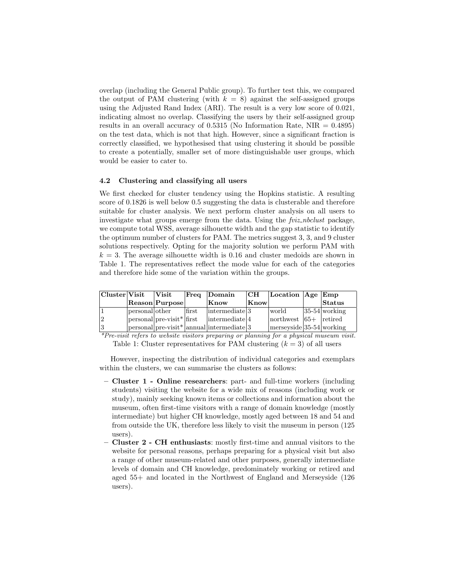overlap (including the General Public group). To further test this, we compared the output of PAM clustering (with  $k = 8$ ) against the self-assigned groups using the Adjusted Rand Index (ARI). The result is a very low score of 0.021, indicating almost no overlap. Classifying the users by their self-assigned group results in an overall accuracy of  $0.5315$  (No Information Rate, NIR =  $0.4895$ ) on the test data, which is not that high. However, since a significant fraction is correctly classified, we hypothesised that using clustering it should be possible to create a potentially, smaller set of more distinguishable user groups, which would be easier to cater to.

### 4.2 Clustering and classifying all users

We first checked for cluster tendency using the Hopkins statistic. A resulting score of 0.1826 is well below 0.5 suggesting the data is clusterable and therefore suitable for cluster analysis. We next perform cluster analysis on all users to investigate what groups emerge from the data. Using the *fuiz nbclust* package, we compute total WSS, average silhouette width and the gap statistic to identify the optimum number of clusters for PAM. The metrics suggest 3, 3, and 9 cluster solutions respectively. Opting for the majority solution we perform PAM with  $k = 3$ . The average silhouette width is 0.16 and cluster medoids are shown in Table 1. The representatives reflect the mode value for each of the categories and therefore hide some of the variation within the groups.

| $ {\bf Cluster} {\bf Visit} $ |                | $\mathbf{V}\mathbf{isit}$                                 |       | Freq Domain                                                           | CH   | Location $ Age Emp$           |                   |
|-------------------------------|----------------|-----------------------------------------------------------|-------|-----------------------------------------------------------------------|------|-------------------------------|-------------------|
|                               |                | Reason Purpose                                            |       | Know                                                                  | Know |                               | Status            |
|                               | personal other |                                                           | first | $\vert$ intermediate $\vert$ 3                                        |      | world                         | $ 35-54 $ working |
| $ 2\rangle$                   |                | $ {\rm personal} $ pre-visit <sup>*</sup> $ {\rm first} $ |       | intermediate 4                                                        |      | $ $ northwest $ 65+ $ retired |                   |
| 3                             |                |                                                           |       | $ {\rm personal} $ pre-visit <sup>*</sup>   annual   intermediate   3 |      | $ $ merseyside 35-54 working  |                   |

\*Pre-visit refers to website visitors preparing or planning for a physical museum visit. Table 1: Cluster representatives for PAM clustering  $(k = 3)$  of all users

However, inspecting the distribution of individual categories and exemplars within the clusters, we can summarise the clusters as follows:

- Cluster 1 Online researchers: part- and full-time workers (including students) visiting the website for a wide mix of reasons (including work or study), mainly seeking known items or collections and information about the museum, often first-time visitors with a range of domain knowledge (mostly intermediate) but higher CH knowledge, mostly aged between 18 and 54 and from outside the UK, therefore less likely to visit the museum in person (125 users).
- Cluster 2 CH enthusiasts: mostly first-time and annual visitors to the website for personal reasons, perhaps preparing for a physical visit but also a range of other museum-related and other purposes, generally intermediate levels of domain and CH knowledge, predominately working or retired and aged 55+ and located in the Northwest of England and Merseyside (126 users).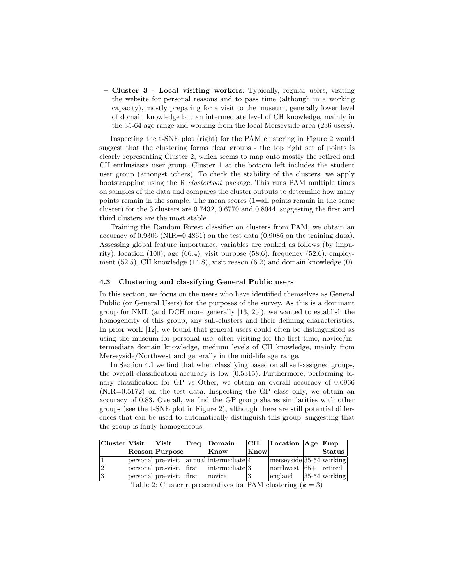– Cluster 3 - Local visiting workers: Typically, regular users, visiting the website for personal reasons and to pass time (although in a working capacity), mostly preparing for a visit to the museum, generally lower level of domain knowledge but an intermediate level of CH knowledge, mainly in the 35-64 age range and working from the local Merseyside area (236 users).

Inspecting the t-SNE plot (right) for the PAM clustering in Figure 2 would suggest that the clustering forms clear groups - the top right set of points is clearly representing Cluster 2, which seems to map onto mostly the retired and CH enthusiasts user group. Cluster 1 at the bottom left includes the student user group (amongst others). To check the stability of the clusters, we apply bootstrapping using the R clusterboot package. This runs PAM multiple times on samples of the data and compares the cluster outputs to determine how many points remain in the sample. The mean scores (1=all points remain in the same cluster) for the 3 clusters are 0.7432, 0.6770 and 0.8044, suggesting the first and third clusters are the most stable.

Training the Random Forest classifier on clusters from PAM, we obtain an accuracy of  $0.9306$  (NIR= $0.4861$ ) on the test data (0.9086 on the training data). Assessing global feature importance, variables are ranked as follows (by impurity): location  $(100)$ , age  $(66.4)$ , visit purpose  $(58.6)$ , frequency  $(52.6)$ , employment  $(52.5)$ , CH knowledge  $(14.8)$ , visit reason  $(6.2)$  and domain knowledge  $(0)$ .

### 4.3 Clustering and classifying General Public users

In this section, we focus on the users who have identified themselves as General Public (or General Users) for the purposes of the survey. As this is a dominant group for NML (and DCH more generally [13, 25]), we wanted to establish the homogeneity of this group, any sub-clusters and their defining characteristics. In prior work [12], we found that general users could often be distinguished as using the museum for personal use, often visiting for the first time, novice/intermediate domain knowledge, medium levels of CH knowledge, mainly from Merseyside/Northwest and generally in the mid-life age range.

In Section 4.1 we find that when classifying based on all self-assigned groups, the overall classification accuracy is low (0.5315). Furthermore, performing binary classification for GP vs Other, we obtain an overall accuracy of 0.6966  $(NIR=0.5172)$  on the test data. Inspecting the GP class only, we obtain an accuracy of 0.83. Overall, we find the GP group shares similarities with other groups (see the t-SNE plot in Figure 2), although there are still potential differences that can be used to automatically distinguish this group, suggesting that the group is fairly homogeneous.

| Cluster Visit                                                 |  | $\boldsymbol{\mathrm{V}}$ isit |  | Freq Domain                                                           | $\overline{\mathbf{C}}$ H | Location $ Age Emp$              |  |                   |  |  |
|---------------------------------------------------------------|--|--------------------------------|--|-----------------------------------------------------------------------|---------------------------|----------------------------------|--|-------------------|--|--|
|                                                               |  | Reason Purpose                 |  | Know                                                                  | Know                      |                                  |  | $\sf{Status}$     |  |  |
|                                                               |  |                                |  | $ {\rm personal} $ personal $ {\rm pre-visit} $ annual intermediate 4 |                           | $ $ merseyside $ 35-54 $ working |  |                   |  |  |
| 12                                                            |  | personal pre-visit first       |  | intermediate 3                                                        |                           | $ $ northwest $ 65+ $ retired    |  |                   |  |  |
| 13                                                            |  | personal pre-visit first       |  | novice                                                                |                           | england                          |  | $ 35-54 $ working |  |  |
| Table 2. Cluster representatives for DAM elustering $(h = 2)$ |  |                                |  |                                                                       |                           |                                  |  |                   |  |  |

Table 2: Cluster representatives for PAM clustering  $(k = 3)$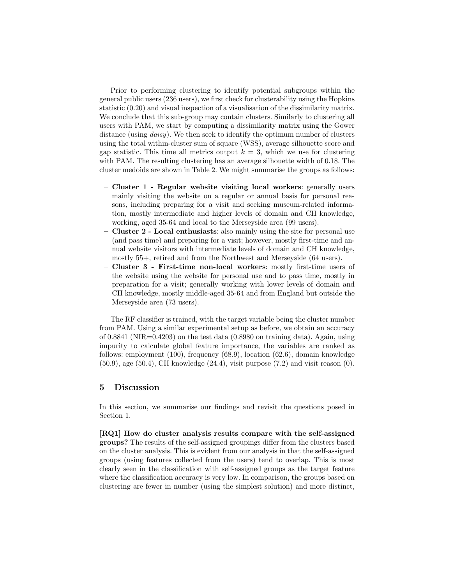Prior to performing clustering to identify potential subgroups within the general public users (236 users), we first check for clusterability using the Hopkins statistic (0.20) and visual inspection of a visualisation of the dissimilarity matrix. We conclude that this sub-group may contain clusters. Similarly to clustering all users with PAM, we start by computing a dissimilarity matrix using the Gower distance (using *daisy*). We then seek to identify the optimum number of clusters using the total within-cluster sum of square (WSS), average silhouette score and gap statistic. This time all metrics output  $k = 3$ , which we use for clustering with PAM. The resulting clustering has an average silhouette width of 0.18. The cluster medoids are shown in Table 2. We might summarise the groups as follows:

- Cluster 1 Regular website visiting local workers: generally users mainly visiting the website on a regular or annual basis for personal reasons, including preparing for a visit and seeking museum-related information, mostly intermediate and higher levels of domain and CH knowledge, working, aged 35-64 and local to the Merseyside area (99 users).
- Cluster 2 Local enthusiasts: also mainly using the site for personal use (and pass time) and preparing for a visit; however, mostly first-time and annual website visitors with intermediate levels of domain and CH knowledge, mostly 55+, retired and from the Northwest and Merseyside (64 users).
- Cluster 3 First-time non-local workers: mostly first-time users of the website using the website for personal use and to pass time, mostly in preparation for a visit; generally working with lower levels of domain and CH knowledge, mostly middle-aged 35-64 and from England but outside the Merseyside area (73 users).

The RF classifier is trained, with the target variable being the cluster number from PAM. Using a similar experimental setup as before, we obtain an accuracy of  $0.8841$  (NIR= $0.4203$ ) on the test data  $(0.8980$  on training data). Again, using impurity to calculate global feature importance, the variables are ranked as follows: employment (100), frequency (68.9), location (62.6), domain knowledge  $(50.9)$ , age  $(50.4)$ , CH knowledge  $(24.4)$ , visit purpose  $(7.2)$  and visit reason  $(0)$ .

## 5 Discussion

In this section, we summarise our findings and revisit the questions posed in Section 1.

[RQ1] How do cluster analysis results compare with the self-assigned groups? The results of the self-assigned groupings differ from the clusters based on the cluster analysis. This is evident from our analysis in that the self-assigned groups (using features collected from the users) tend to overlap. This is most clearly seen in the classification with self-assigned groups as the target feature where the classification accuracy is very low. In comparison, the groups based on clustering are fewer in number (using the simplest solution) and more distinct,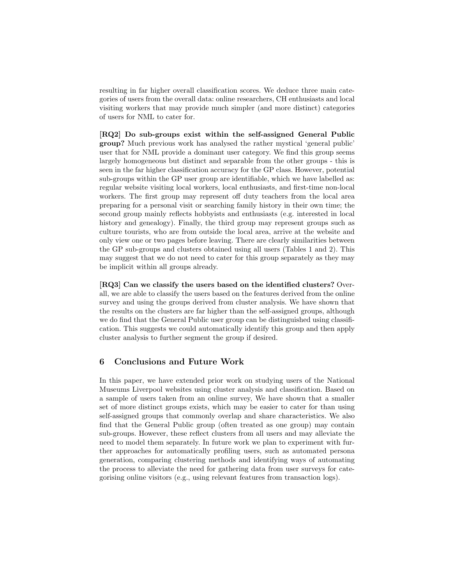resulting in far higher overall classification scores. We deduce three main categories of users from the overall data: online researchers, CH enthusiasts and local visiting workers that may provide much simpler (and more distinct) categories of users for NML to cater for.

[RQ2] Do sub-groups exist within the self-assigned General Public group? Much previous work has analysed the rather mystical 'general public' user that for NML provide a dominant user category. We find this group seems largely homogeneous but distinct and separable from the other groups - this is seen in the far higher classification accuracy for the GP class. However, potential sub-groups within the GP user group are identifiable, which we have labelled as: regular website visiting local workers, local enthusiasts, and first-time non-local workers. The first group may represent off duty teachers from the local area preparing for a personal visit or searching family history in their own time; the second group mainly reflects hobbyists and enthusiasts (e.g. interested in local history and genealogy). Finally, the third group may represent groups such as culture tourists, who are from outside the local area, arrive at the website and only view one or two pages before leaving. There are clearly similarities between the GP sub-groups and clusters obtained using all users (Tables 1 and 2). This may suggest that we do not need to cater for this group separately as they may be implicit within all groups already.

[RQ3] Can we classify the users based on the identified clusters? Overall, we are able to classify the users based on the features derived from the online survey and using the groups derived from cluster analysis. We have shown that the results on the clusters are far higher than the self-assigned groups, although we do find that the General Public user group can be distinguished using classification. This suggests we could automatically identify this group and then apply cluster analysis to further segment the group if desired.

# 6 Conclusions and Future Work

In this paper, we have extended prior work on studying users of the National Museums Liverpool websites using cluster analysis and classification. Based on a sample of users taken from an online survey, We have shown that a smaller set of more distinct groups exists, which may be easier to cater for than using self-assigned groups that commonly overlap and share characteristics. We also find that the General Public group (often treated as one group) may contain sub-groups. However, these reflect clusters from all users and may alleviate the need to model them separately. In future work we plan to experiment with further approaches for automatically profiling users, such as automated persona generation, comparing clustering methods and identifying ways of automating the process to alleviate the need for gathering data from user surveys for categorising online visitors (e.g., using relevant features from transaction logs).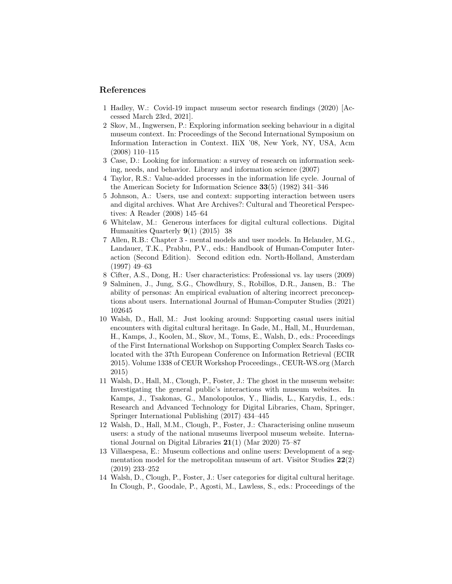## References

- 1 Hadley, W.: Covid-19 impact museum sector research findings (2020) [Accessed March 23rd, 2021].
- 2 Skov, M., Ingwersen, P.: Exploring information seeking behaviour in a digital museum context. In: Proceedings of the Second International Symposium on Information Interaction in Context. IIiX '08, New York, NY, USA, Acm (2008) 110–115
- 3 Case, D.: Looking for information: a survey of research on information seeking, needs, and behavior. Library and information science (2007)
- 4 Taylor, R.S.: Value-added processes in the information life cycle. Journal of the American Society for Information Science 33(5) (1982) 341–346
- 5 Johnson, A.: Users, use and context: supporting interaction between users and digital archives. What Are Archives?: Cultural and Theoretical Perspectives: A Reader (2008) 145–64
- 6 Whitelaw, M.: Generous interfaces for digital cultural collections. Digital Humanities Quarterly 9(1) (2015) 38
- 7 Allen, R.B.: Chapter 3 mental models and user models. In Helander, M.G., Landauer, T.K., Prabhu, P.V., eds.: Handbook of Human-Computer Interaction (Second Edition). Second edition edn. North-Holland, Amsterdam (1997) 49–63
- 8 Cifter, A.S., Dong, H.: User characteristics: Professional vs. lay users (2009)
- 9 Salminen, J., Jung, S.G., Chowdhury, S., Robillos, D.R., Jansen, B.: The ability of personas: An empirical evaluation of altering incorrect preconceptions about users. International Journal of Human-Computer Studies (2021) 102645
- 10 Walsh, D., Hall, M.: Just looking around: Supporting casual users initial encounters with digital cultural heritage. In Gade, M., Hall, M., Huurdeman, H., Kamps, J., Koolen, M., Skov, M., Toms, E., Walsh, D., eds.: Proceedings of the First International Workshop on Supporting Complex Search Tasks colocated with the 37th European Conference on Information Retrieval (ECIR 2015). Volume 1338 of CEUR Workshop Proceedings., CEUR-WS.org (March 2015)
- 11 Walsh, D., Hall, M., Clough, P., Foster, J.: The ghost in the museum website: Investigating the general public's interactions with museum websites. In Kamps, J., Tsakonas, G., Manolopoulos, Y., Iliadis, L., Karydis, I., eds.: Research and Advanced Technology for Digital Libraries, Cham, Springer, Springer International Publishing (2017) 434–445
- 12 Walsh, D., Hall, M.M., Clough, P., Foster, J.: Characterising online museum users: a study of the national museums liverpool museum website. International Journal on Digital Libraries 21(1) (Mar 2020) 75–87
- 13 Villaespesa, E.: Museum collections and online users: Development of a segmentation model for the metropolitan museum of art. Visitor Studies  $22(2)$ (2019) 233–252
- 14 Walsh, D., Clough, P., Foster, J.: User categories for digital cultural heritage. In Clough, P., Goodale, P., Agosti, M., Lawless, S., eds.: Proceedings of the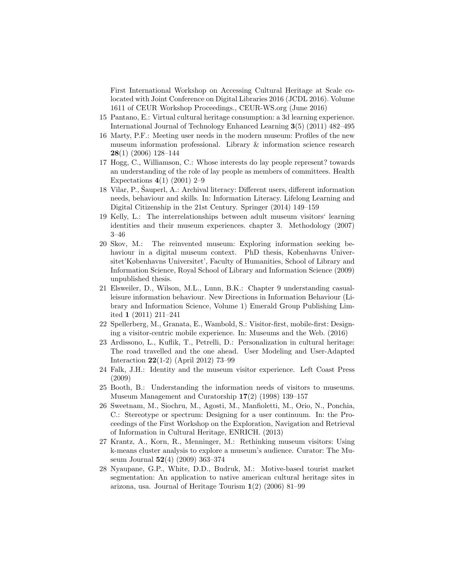First International Workshop on Accessing Cultural Heritage at Scale colocated with Joint Conference on Digital Libraries 2016 (JCDL 2016). Volume 1611 of CEUR Workshop Proceedings., CEUR-WS.org (June 2016)

- 15 Pantano, E.: Virtual cultural heritage consumption: a 3d learning experience. International Journal of Technology Enhanced Learning 3(5) (2011) 482–495
- 16 Marty, P.F.: Meeting user needs in the modern museum: Profiles of the new museum information professional. Library & information science research 28(1) (2006) 128–144
- 17 Hogg, C., Williamson, C.: Whose interests do lay people represent? towards an understanding of the role of lay people as members of committees. Health Expectations  $4(1)$  (2001) 2–9
- 18 Vilar, P., Šauperl, A.: Archival literacy: Different users, different information needs, behaviour and skills. In: Information Literacy. Lifelong Learning and Digital Citizenship in the 21st Century. Springer (2014) 149–159
- 19 Kelly, L.: The interrelationships between adult museum visitors' learning identities and their museum experiences. chapter 3. Methodology (2007) 3–46
- 20 Skov, M.: The reinvented museum: Exploring information seeking behaviour in a digital museum context. PhD thesis, Københavns Universitet'Københavns Universitet', Faculty of Humanities, School of Library and Information Science, Royal School of Library and Information Science (2009) unpublished thesis.
- 21 Elsweiler, D., Wilson, M.L., Lunn, B.K.: Chapter 9 understanding casualleisure information behaviour. New Directions in Information Behaviour (Library and Information Science, Volume 1) Emerald Group Publishing Limited 1 (2011) 211–241
- 22 Spellerberg, M., Granata, E., Wambold, S.: Visitor-first, mobile-first: Designing a visitor-centric mobile experience. In: Museums and the Web. (2016)
- 23 Ardissono, L., Kuflik, T., Petrelli, D.: Personalization in cultural heritage: The road travelled and the one ahead. User Modeling and User-Adapted Interaction 22(1-2) (April 2012) 73–99
- 24 Falk, J.H.: Identity and the museum visitor experience. Left Coast Press (2009)
- 25 Booth, B.: Understanding the information needs of visitors to museums. Museum Management and Curatorship 17(2) (1998) 139–157
- 26 Sweetnam, M., Siochru, M., Agosti, M., Manfioletti, M., Orio, N., Ponchia, C.: Stereotype or spectrum: Designing for a user continuum. In: the Proceedings of the First Workshop on the Exploration, Navigation and Retrieval of Information in Cultural Heritage, ENRICH. (2013)
- 27 Krantz, A., Korn, R., Menninger, M.: Rethinking museum visitors: Using k-means cluster analysis to explore a museum's audience. Curator: The Museum Journal 52(4) (2009) 363–374
- 28 Nyaupane, G.P., White, D.D., Budruk, M.: Motive-based tourist market segmentation: An application to native american cultural heritage sites in arizona, usa. Journal of Heritage Tourism 1(2) (2006) 81–99